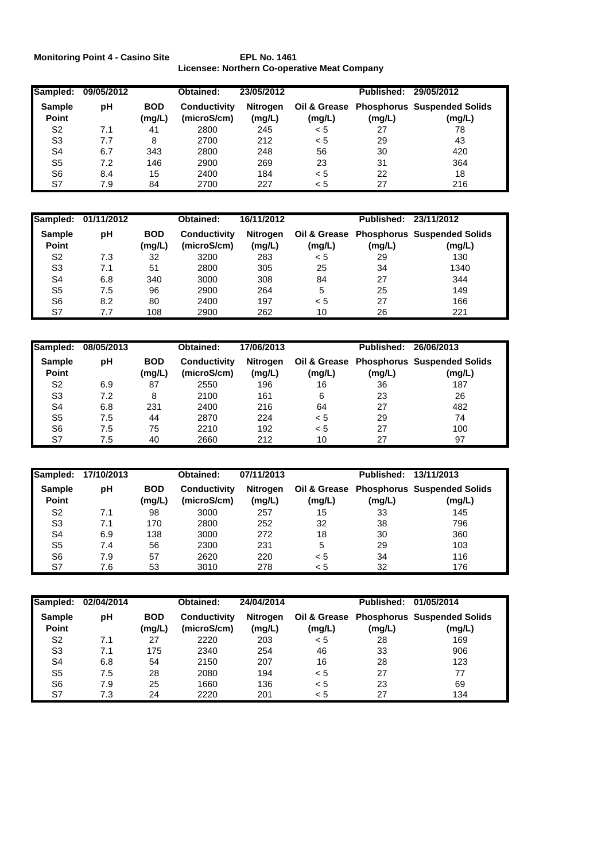**Monitoring Point 4 - Casino Site EPL No. 1461**

**Licensee: Northern Co-operative Meat Company**

| Sampled:                      | 09/05/2012 |                      | Obtained:                   | 23/05/2012         |        | Published: | 29/05/2012                                         |
|-------------------------------|------------|----------------------|-----------------------------|--------------------|--------|------------|----------------------------------------------------|
| <b>Sample</b><br><b>Point</b> | рH         | <b>BOD</b><br>(mg/L) | Conductivity<br>(microS/cm) | Nitrogen<br>(mg/L) | (mg/L) | (mg/L)     | Oil & Grease Phosphorus Suspended Solids<br>(mg/L) |
| S2                            | 7.1        | 41                   | 2800                        | 245                | < 5    | 27         | 78                                                 |
| S <sub>3</sub>                | 7.7        | 8                    | 2700                        | 212                | < 5    | 29         | 43                                                 |
| S4                            | 6.7        | 343                  | 2800                        | 248                | 56     | 30         | 420                                                |
| S <sub>5</sub>                | 7.2        | 146                  | 2900                        | 269                | 23     | 31         | 364                                                |
| S <sub>6</sub>                | 8.4        | 15                   | 2400                        | 184                | < 5    | 22         | 18                                                 |
| S7                            | 7.9        | 84                   | 2700                        | 227                | < 5    | 27         | 216                                                |

| Sampled:               | 01/11/2012 |                      | Obtained:                          | 16/11/2012         |        | Published: 23/11/2012 |                                                    |
|------------------------|------------|----------------------|------------------------------------|--------------------|--------|-----------------------|----------------------------------------------------|
| <b>Sample</b><br>Point | рH         | <b>BOD</b><br>(mg/L) | <b>Conductivity</b><br>(microS/cm) | Nitrogen<br>(mg/L) | (mg/L) | (mg/L)                | Oil & Grease Phosphorus Suspended Solids<br>(mg/L) |
| S2                     | 7.3        | 32                   | 3200                               | 283                | < 5    | 29                    | 130                                                |
| S <sub>3</sub>         | 7.1        | 51                   | 2800                               | 305                | 25     | 34                    | 1340                                               |
| S4                     | 6.8        | 340                  | 3000                               | 308                | 84     | 27                    | 344                                                |
| S <sub>5</sub>         | 7.5        | 96                   | 2900                               | 264                | 5      | 25                    | 149                                                |
| S <sub>6</sub>         | 8.2        | 80                   | 2400                               | 197                | < 5    | 27                    | 166                                                |
| S7                     | 7.7        | 108                  | 2900                               | 262                | 10     | 26                    | 221                                                |

| Sampled:               | 08/05/2013 |                      | Obtained:                          | 17/06/2013         |                        | Published: | 26/06/2013                                   |
|------------------------|------------|----------------------|------------------------------------|--------------------|------------------------|------------|----------------------------------------------|
| <b>Sample</b><br>Point | рH         | <b>BOD</b><br>(mg/L) | <b>Conductivity</b><br>(microS/cm) | Nitrogen<br>(mg/L) | Oil & Grease<br>(mg/L) | (mg/L)     | <b>Phosphorus Suspended Solids</b><br>(mg/L) |
| S <sub>2</sub>         | 6.9        | 87                   | 2550                               | 196                | 16                     | 36         | 187                                          |
| S <sub>3</sub>         | 7.2        | 8                    | 2100                               | 161                | 6                      | 23         | 26                                           |
| S4                     | 6.8        | 231                  | 2400                               | 216                | 64                     | 27         | 482                                          |
| S5                     | 7.5        | 44                   | 2870                               | 224                | < 5                    | 29         | 74                                           |
| S <sub>6</sub>         | 7.5        | 75                   | 2210                               | 192                | < 5                    | 27         | 100                                          |
| S7                     | 7.5        | 40                   | 2660                               | 212                | 10                     | 27         | 97                                           |

| Sampled:               | 17/10/2013 |                      | Obtained:                          | 07/11/2013         |        | Published: | 13/11/2013                                         |
|------------------------|------------|----------------------|------------------------------------|--------------------|--------|------------|----------------------------------------------------|
| <b>Sample</b><br>Point | рH         | <b>BOD</b><br>(mg/L) | <b>Conductivity</b><br>(microS/cm) | Nitrogen<br>(mg/L) | (mg/L) | (mg/L)     | Oil & Grease Phosphorus Suspended Solids<br>(mg/L) |
| S <sub>2</sub>         | 7.1        | 98                   | 3000                               | 257                | 15     | 33         | 145                                                |
| S <sub>3</sub>         | 7.1        | 170                  | 2800                               | 252                | 32     | 38         | 796                                                |
| S <sub>4</sub>         | 6.9        | 138                  | 3000                               | 272                | 18     | 30         | 360                                                |
| S <sub>5</sub>         | 7.4        | 56                   | 2300                               | 231                | 5      | 29         | 103                                                |
| S <sub>6</sub>         | 7.9        | 57                   | 2620                               | 220                | < 5    | 34         | 116                                                |
| S7                     | 7.6        | 53                   | 3010                               | 278                | < 5    | 32         | 176                                                |

| Sampled:               | 02/04/2014 |                      | Obtained:                          | 24/04/2014         |        | Published: | 01/05/2014                                         |
|------------------------|------------|----------------------|------------------------------------|--------------------|--------|------------|----------------------------------------------------|
| <b>Sample</b><br>Point | рH         | <b>BOD</b><br>(mg/L) | <b>Conductivity</b><br>(microS/cm) | Nitrogen<br>(mg/L) | (mg/L) | (mg/L)     | Oil & Grease Phosphorus Suspended Solids<br>(mg/L) |
| S <sub>2</sub>         | 7.1        | 27                   | 2220                               | 203                | < 5    | 28         | 169                                                |
| S <sub>3</sub>         | 7.1        | 175                  | 2340                               | 254                | 46     | 33         | 906                                                |
| S <sub>4</sub>         | 6.8        | 54                   | 2150                               | 207                | 16     | 28         | 123                                                |
| S <sub>5</sub>         | 7.5        | 28                   | 2080                               | 194                | < 5    | 27         | 77                                                 |
| S <sub>6</sub>         | 7.9        | 25                   | 1660                               | 136                | < 5    | 23         | 69                                                 |
| S7                     | 7.3        | 24                   | 2220                               | 201                | < 5    | 27         | 134                                                |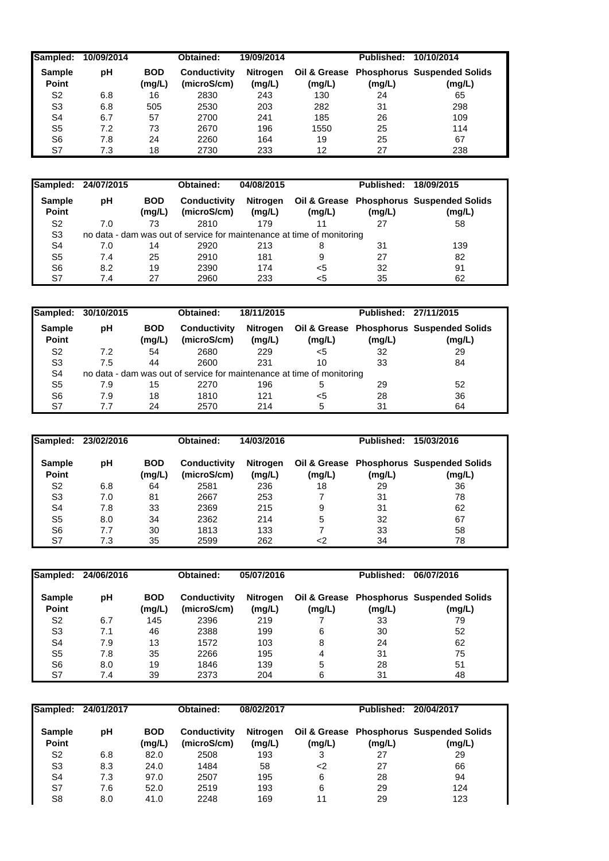| <b>Sampled:</b>               | 10/09/2014 |                      | Obtained:                          | 19/09/2014         |        | Published: | 10/10/2014                                         |
|-------------------------------|------------|----------------------|------------------------------------|--------------------|--------|------------|----------------------------------------------------|
| <b>Sample</b><br><b>Point</b> | рH         | <b>BOD</b><br>(mg/L) | <b>Conductivity</b><br>(microS/cm) | Nitrogen<br>(mg/L) | (mg/L) | (mg/L)     | Oil & Grease Phosphorus Suspended Solids<br>(mg/L) |
| S <sub>2</sub>                | 6.8        | 16                   | 2830                               | 243                | 130    | 24         | 65                                                 |
| S <sub>3</sub>                | 6.8        | 505                  | 2530                               | 203                | 282    | 31         | 298                                                |
| S4                            | 6.7        | 57                   | 2700                               | 241                | 185    | 26         | 109                                                |
| S <sub>5</sub>                | 7.2        | 73                   | 2670                               | 196                | 1550   | 25         | 114                                                |
| S6                            | 7.8        | 24                   | 2260                               | 164                | 19     | 25         | 67                                                 |
| S7                            | 7.3        | 18                   | 2730                               | 233                | 12     | 27         | 238                                                |

| Sampled:               | 24/07/2015 |                      | Obtained:                                                              | 04/08/2015                |        | <b>Published:</b> | 18/09/2015                                         |
|------------------------|------------|----------------------|------------------------------------------------------------------------|---------------------------|--------|-------------------|----------------------------------------------------|
| <b>Sample</b><br>Point | рH         | <b>BOD</b><br>(mg/L) | Conductivity<br>(microS/cm)                                            | <b>Nitrogen</b><br>(mg/L) | (mg/L) | (mg/L)            | Oil & Grease Phosphorus Suspended Solids<br>(mg/L) |
| S <sub>2</sub>         | 7.0        | 73                   | 2810                                                                   | 179                       |        | 27                | 58                                                 |
| S <sub>3</sub>         |            |                      | no data - dam was out of service for maintenance at time of monitoring |                           |        |                   |                                                    |
| S4                     | 7.0        | 14                   | 2920                                                                   | 213                       | 8      | 31                | 139                                                |
| S <sub>5</sub>         | 7.4        | 25                   | 2910                                                                   | 181                       | 9      | 27                | 82                                                 |
| S6                     | 8.2        | 19                   | 2390                                                                   | 174                       | $<$ 5  | 32                | 91                                                 |
| S7                     | 7.4        | 27                   | 2960                                                                   | 233                       | <5     | 35                | 62                                                 |

| Sampled:               | 30/10/2015 |                      | Obtained:                                                              | 18/11/2015                |        | Published: 27/11/2015 |                                                    |
|------------------------|------------|----------------------|------------------------------------------------------------------------|---------------------------|--------|-----------------------|----------------------------------------------------|
| <b>Sample</b><br>Point | рH         | <b>BOD</b><br>(mg/L) | <b>Conductivity</b><br>(microS/cm)                                     | <b>Nitrogen</b><br>(mg/L) | (mg/L) | (mg/L)                | Oil & Grease Phosphorus Suspended Solids<br>(mg/L) |
| S <sub>2</sub>         | 7.2        | 54                   | 2680                                                                   | 229                       | <5     | 32                    | 29                                                 |
| S <sub>3</sub>         | 7.5        | 44                   | 2600                                                                   | 231                       | 10     | 33                    | 84                                                 |
| S <sub>4</sub>         |            |                      | no data - dam was out of service for maintenance at time of monitoring |                           |        |                       |                                                    |
| S <sub>5</sub>         | 7.9        | 15                   | 2270                                                                   | 196                       | 5      | 29                    | 52                                                 |
| S <sub>6</sub>         | 7.9        | 18                   | 1810                                                                   | 121                       | <5     | 28                    | 36                                                 |
| S7                     | 7.7        | 24                   | 2570                                                                   | 214                       | 5      | 31                    | 64                                                 |

| <b>Sampled:</b>        | 23/02/2016 |                      | Obtained:                          | 14/03/2016         |        | Published: | 15/03/2016                                         |
|------------------------|------------|----------------------|------------------------------------|--------------------|--------|------------|----------------------------------------------------|
| <b>Sample</b><br>Point | рH         | <b>BOD</b><br>(mg/L) | <b>Conductivity</b><br>(microS/cm) | Nitrogen<br>(mg/L) | (mg/L) | (mg/L)     | Oil & Grease Phosphorus Suspended Solids<br>(mg/L) |
| S <sub>2</sub>         | 6.8        | 64                   | 2581                               | 236                | 18     | 29         | 36                                                 |
| S <sub>3</sub>         | 7.0        | 81                   | 2667                               | 253                |        | 31         | 78                                                 |
| S <sub>4</sub>         | 7.8        | 33                   | 2369                               | 215                | 9      | 31         | 62                                                 |
| S <sub>5</sub>         | 8.0        | 34                   | 2362                               | 214                | 5      | 32         | 67                                                 |
| S6                     | 7.7        | 30                   | 1813                               | 133                |        | 33         | 58                                                 |
| S7                     | 7.3        | 35                   | 2599                               | 262                | <2     | 34         | 78                                                 |

| Sampled:               | 24/06/2016 |                      | Obtained:                   | 05/07/2016         |        | <b>Published:</b> | 06/07/2016                                         |
|------------------------|------------|----------------------|-----------------------------|--------------------|--------|-------------------|----------------------------------------------------|
| <b>Sample</b><br>Point | рH         | <b>BOD</b><br>(mg/L) | Conductivity<br>(microS/cm) | Nitrogen<br>(mg/L) | (mg/L) | (mg/L)            | Oil & Grease Phosphorus Suspended Solids<br>(mg/L) |
| S2                     | 6.7        | 145                  | 2396                        | 219                |        | 33                | 79                                                 |
| S <sub>3</sub>         | 7.1        | 46                   | 2388                        | 199                | 6      | 30                | 52                                                 |
| S4                     | 7.9        | 13                   | 1572                        | 103                | 8      | 24                | 62                                                 |
| S <sub>5</sub>         | 7.8        | 35                   | 2266                        | 195                | 4      | 31                | 75                                                 |
| S6                     | 8.0        | 19                   | 1846                        | 139                | 5      | 28                | 51                                                 |
| S7                     | 7.4        | 39                   | 2373                        | 204                | 6      | 31                | 48                                                 |

| <b>Sampled:</b>        | 24/01/2017 |                      | Obtained:                   | 08/02/2017                |        | Published: | 20/04/2017                                         |
|------------------------|------------|----------------------|-----------------------------|---------------------------|--------|------------|----------------------------------------------------|
| <b>Sample</b><br>Point | рH         | <b>BOD</b><br>(mg/L) | Conductivity<br>(microS/cm) | <b>Nitrogen</b><br>(mg/L) | (mg/L) | (mg/L)     | Oil & Grease Phosphorus Suspended Solids<br>(mg/L) |
| S2                     | 6.8        | 82.0                 | 2508                        | 193                       | 3      | 27         | 29                                                 |
| S3                     | 8.3        | 24.0                 | 1484                        | 58                        | <2     | 27         | 66                                                 |
| S4                     | 7.3        | 97.0                 | 2507                        | 195                       | 6      | 28         | 94                                                 |
| S7                     | 7.6        | 52.0                 | 2519                        | 193                       | 6      | 29         | 124                                                |
| S8                     | 8.0        | 41.0                 | 2248                        | 169                       | 11     | 29         | 123                                                |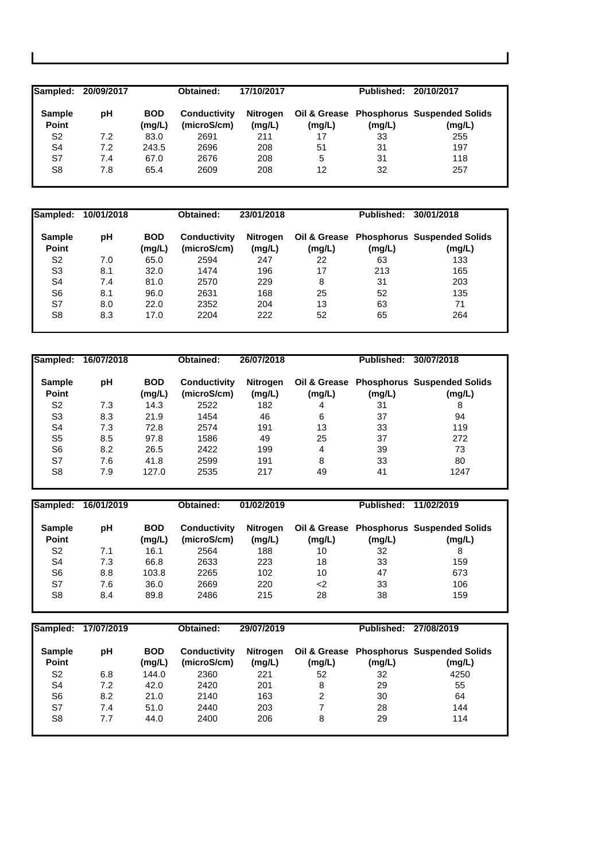| Sampled:               | 20/09/2017 |                      | Obtained:                          | 17/10/2017                |        | Published: | 20/10/2017                                         |
|------------------------|------------|----------------------|------------------------------------|---------------------------|--------|------------|----------------------------------------------------|
| <b>Sample</b><br>Point | рH         | <b>BOD</b><br>(mg/L) | <b>Conductivity</b><br>(microS/cm) | <b>Nitrogen</b><br>(mg/L) | (mg/L) | (mg/L)     | Oil & Grease Phosphorus Suspended Solids<br>(mg/L) |
| S <sub>2</sub>         | 7.2        | 83.0                 | 2691                               | 211                       | 17     | 33         | 255                                                |
| S4                     | 7.2        | 243.5                | 2696                               | 208                       | 51     | 31         | 197                                                |
| S7                     | 7.4        | 67.0                 | 2676                               | 208                       | 5      | 31         | 118                                                |
| S8                     | 7.8        | 65.4                 | 2609                               | 208                       | 12     | 32         | 257                                                |

| Sampled:               | 10/01/2018 |                      | Obtained:                   | 23/01/2018         |        | <b>Published:</b> | 30/01/2018                                         |
|------------------------|------------|----------------------|-----------------------------|--------------------|--------|-------------------|----------------------------------------------------|
| <b>Sample</b><br>Point | рH         | <b>BOD</b><br>(mg/L) | Conductivity<br>(microS/cm) | Nitrogen<br>(mg/L) | (mg/L) | (mg/L)            | Oil & Grease Phosphorus Suspended Solids<br>(mg/L) |
| S <sub>2</sub>         | 7.0        | 65.0                 | 2594                        | 247                | 22     | 63                | 133                                                |
| S <sub>3</sub>         | 8.1        | 32.0                 | 1474                        | 196                | 17     | 213               | 165                                                |
| S <sub>4</sub>         | 7.4        | 81.0                 | 2570                        | 229                | 8      | 31                | 203                                                |
| S <sub>6</sub>         | 8.1        | 96.0                 | 2631                        | 168                | 25     | 52                | 135                                                |
| S7                     | 8.0        | 22.0                 | 2352                        | 204                | 13     | 63                | 71                                                 |
| S <sub>8</sub>         | 8.3        | 17.0                 | 2204                        | 222                | 52     | 65                | 264                                                |

| Sampled:                      | 16/07/2018 |                      | Obtained:                          | 26/07/2018                |        | <b>Published:</b> | 30/07/2018                                         |
|-------------------------------|------------|----------------------|------------------------------------|---------------------------|--------|-------------------|----------------------------------------------------|
| <b>Sample</b><br><b>Point</b> | рH         | <b>BOD</b><br>(mg/L) | <b>Conductivity</b><br>(microS/cm) | <b>Nitrogen</b><br>(mg/L) | (mg/L) | (mg/L)            | Oil & Grease Phosphorus Suspended Solids<br>(mg/L) |
| S <sub>2</sub>                | 7.3        | 14.3                 | 2522                               | 182                       | 4      | 31                | 8                                                  |
| S <sub>3</sub>                | 8.3        | 21.9                 | 1454                               | 46                        | 6      | 37                | 94                                                 |
| S <sub>4</sub>                | 7.3        | 72.8                 | 2574                               | 191                       | 13     | 33                | 119                                                |
| S <sub>5</sub>                | 8.5        | 97.8                 | 1586                               | 49                        | 25     | 37                | 272                                                |
| S <sub>6</sub>                | 8.2        | 26.5                 | 2422                               | 199                       | 4      | 39                | 73                                                 |
| S7                            | 7.6        | 41.8                 | 2599                               | 191                       | 8      | 33                | 80                                                 |
| S <sub>8</sub>                | 7.9        | 127.0                | 2535                               | 217                       | 49     | 41                | 1247                                               |

| Sampled:               | 16/01/2019 |                      | Obtained:                   | 01/02/2019                |        | Published: 11/02/2019 |                                                    |
|------------------------|------------|----------------------|-----------------------------|---------------------------|--------|-----------------------|----------------------------------------------------|
| <b>Sample</b><br>Point | рH         | <b>BOD</b><br>(mg/L) | Conductivity<br>(microS/cm) | <b>Nitrogen</b><br>(mg/L) | (mg/L) | (mg/L)                | Oil & Grease Phosphorus Suspended Solids<br>(mg/L) |
| S <sub>2</sub>         | 7.1        | 16.1                 | 2564                        | 188                       | 10     | 32                    | 8                                                  |
| S <sub>4</sub>         | 7.3        | 66.8                 | 2633                        | 223                       | 18     | 33                    | 159                                                |
| S <sub>6</sub>         | 8.8        | 103.8                | 2265                        | 102                       | 10     | 47                    | 673                                                |
| S7                     | 7.6        | 36.0                 | 2669                        | 220                       | <2     | 33                    | 106                                                |
| S8                     | 8.4        | 89.8                 | 2486                        | 215                       | 28     | 38                    | 159                                                |

| Sampled:               | 17/07/2019 |                      | Obtained:                          | 29/07/2019                |        | Published: | 27/08/2019                                         |
|------------------------|------------|----------------------|------------------------------------|---------------------------|--------|------------|----------------------------------------------------|
| <b>Sample</b><br>Point | рH         | <b>BOD</b><br>(mg/L) | <b>Conductivity</b><br>(microS/cm) | <b>Nitrogen</b><br>(mg/L) | (mg/L) | (mg/L)     | Oil & Grease Phosphorus Suspended Solids<br>(mg/L) |
| S2                     | 6.8        | 144.0                | 2360                               | 221                       | 52     | 32         | 4250                                               |
| S4                     | 7.2        | 42.0                 | 2420                               | 201                       | 8      | 29         | 55                                                 |
| S <sub>6</sub>         | 8.2        | 21.0                 | 2140                               | 163                       | 2      | 30         | 64                                                 |
| S7                     | 7.4        | 51.0                 | 2440                               | 203                       |        | 28         | 144                                                |
| S8                     | 7.7        | 44.0                 | 2400                               | 206                       | 8      | 29         | 114                                                |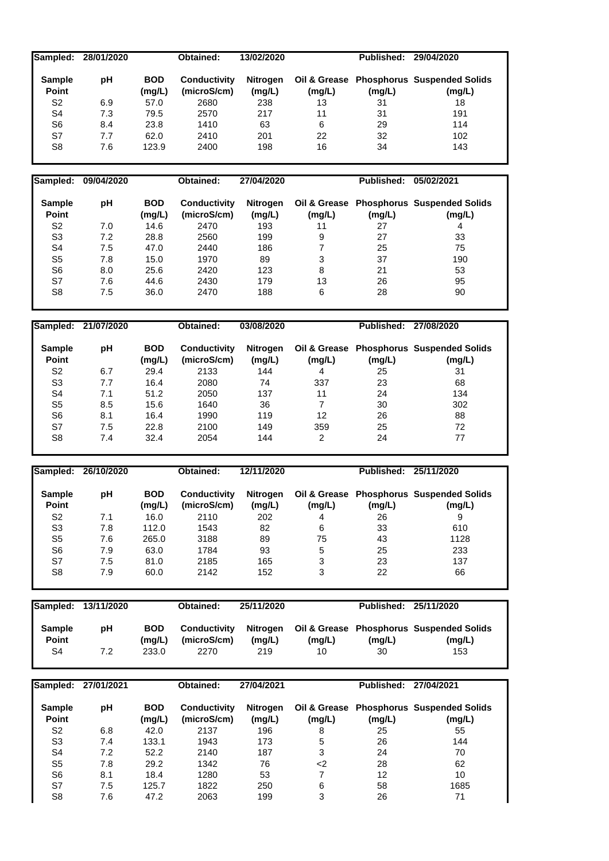| Sampled:<br>28/01/2020<br>Obtained:<br>13/02/2020                                           | Published: 29/04/2020 |                                              |
|---------------------------------------------------------------------------------------------|-----------------------|----------------------------------------------|
|                                                                                             |                       |                                              |
| <b>BOD</b><br><b>Sample</b><br>pH<br><b>Conductivity</b><br>Oil & Grease<br><b>Nitrogen</b> |                       | <b>Phosphorus Suspended Solids</b>           |
| Point<br>(mg/L)<br>(microS/cm)<br>(mg/L)<br>(mg/L)                                          | (mg/L)                | (mg/L)                                       |
| S <sub>2</sub><br>6.9<br>57.0<br>2680<br>238<br>13                                          | 31                    | 18                                           |
|                                                                                             |                       |                                              |
| S <sub>4</sub><br>7.3<br>79.5<br>2570<br>217<br>11                                          | 31                    | 191                                          |
| S <sub>6</sub><br>8.4<br>23.8<br>1410<br>63<br>6                                            | 29                    | 114                                          |
| S7<br>7.7<br>62.0<br>201<br>22<br>2410                                                      | 32                    | 102                                          |
| S <sub>8</sub><br>7.6<br>123.9<br>198<br>16<br>2400                                         | 34                    | 143                                          |
|                                                                                             |                       |                                              |
|                                                                                             |                       |                                              |
| Sampled:<br>Obtained:<br>09/04/2020<br>27/04/2020                                           | <b>Published:</b>     | 05/02/2021                                   |
|                                                                                             |                       |                                              |
| <b>BOD</b><br><b>Sample</b><br><b>Conductivity</b><br>Oil & Grease<br>pH<br><b>Nitrogen</b> |                       | <b>Phosphorus Suspended Solids</b>           |
| Point<br>(mg/L)<br>(microS/cm)<br>(mg/L)<br>(mg/L)                                          | (mg/L)                | (mg/L)                                       |
| S <sub>2</sub><br>2470<br>7.0<br>14.6<br>193<br>11                                          | 27                    | $\overline{\mathbf{4}}$                      |
| S <sub>3</sub><br>7.2<br>28.8<br>2560<br>199<br>9                                           | 27                    | 33                                           |
| $\overline{7}$<br>S <sub>4</sub><br>7.5<br>47.0<br>2440<br>186                              | 25                    | 75                                           |
| 3<br>S <sub>5</sub><br>7.8<br>15.0<br>1970<br>89                                            | 37                    | 190                                          |
|                                                                                             |                       |                                              |
| S <sub>6</sub><br>8.0<br>25.6<br>2420<br>123<br>8                                           | 21                    | 53                                           |
| S7<br>7.6<br>44.6<br>179<br>13<br>2430                                                      | 26                    | 95                                           |
| S <sub>8</sub><br>7.5<br>36.0<br>188<br>2470<br>6                                           | 28                    | 90                                           |
|                                                                                             |                       |                                              |
|                                                                                             |                       |                                              |
| Sampled:<br>21/07/2020<br>03/08/2020<br>Obtained:                                           | Published: 27/08/2020 |                                              |
|                                                                                             |                       |                                              |
| <b>BOD</b><br><b>Sample</b><br>pH<br><b>Conductivity</b><br>Nitrogen                        |                       | Oil & Grease Phosphorus Suspended Solids     |
| Point<br>(microS/cm)<br>(mg/L)<br>(mg/L)<br>(mg/L)                                          | (mg/L)                | (mg/L)                                       |
|                                                                                             |                       |                                              |
| 4                                                                                           |                       |                                              |
| S <sub>2</sub><br>29.4<br>2133<br>144<br>6.7                                                | 25                    | 31                                           |
| S <sub>3</sub><br>7.7<br>16.4<br>2080<br>74<br>337                                          | 23                    | 68                                           |
| S <sub>4</sub><br>51.2<br>137<br>7.1<br>2050<br>11                                          | 24                    | 134                                          |
| S <sub>5</sub><br>8.5<br>15.6<br>36<br>$\overline{7}$<br>1640                               | 30                    | 302                                          |
| S <sub>6</sub><br>8.1<br>16.4<br>1990<br>119<br>12                                          | 26                    | 88                                           |
| S7<br>7.5<br>22.8<br>149<br>359<br>2100                                                     | 25                    | 72                                           |
| S <sub>8</sub><br>7.4<br>32.4<br>2054<br>144<br>$\overline{2}$                              | 24                    | 77                                           |
|                                                                                             |                       |                                              |
|                                                                                             |                       |                                              |
| Sampled:<br>26/10/2020<br>Obtained:<br>12/11/2020                                           | Published: 25/11/2020 |                                              |
|                                                                                             |                       |                                              |
| <b>BOD</b><br><b>Sample</b><br>pH<br><b>Conductivity</b><br><b>Nitrogen</b>                 |                       | Oil & Grease Phosphorus Suspended Solids     |
| (microS/cm)<br>Point<br>(mg/L)                                                              |                       |                                              |
| (mg/L)<br>(mg/L)<br>S <sub>2</sub><br>7.1<br>16.0<br>2110<br>202<br>4                       | 26                    | (mg/L) (mg/L)<br>9                           |
| 112.0<br>S3<br>7.8<br>1543<br>82<br>6                                                       | 33                    | 610                                          |
|                                                                                             |                       |                                              |
| S <sub>5</sub><br>$7.6$<br>265.0<br>3188<br>89<br>75                                        | 43                    | 1128                                         |
| S <sub>6</sub><br>7.9<br>63.0<br>93<br>$\mathbf 5$<br>1784                                  | 25                    | 233                                          |
| S7<br>7.5<br>81.0<br>2185<br>165<br>3                                                       | 23                    | 137                                          |
| S <sub>8</sub><br>7.9<br>60.0<br>2142<br>152<br>3                                           | 22                    | 66                                           |
|                                                                                             |                       |                                              |
|                                                                                             |                       |                                              |
| Sampled:<br>13/11/2020<br>Obtained:<br>25/11/2020                                           | Published: 25/11/2020 |                                              |
|                                                                                             |                       |                                              |
| <b>Sample</b><br>pH<br><b>BOD</b><br><b>Conductivity</b><br>Nitrogen                        |                       | Oil & Grease Phosphorus Suspended Solids     |
| Point<br>(mg/L)<br>(microS/cm)<br>(mg/L)<br>(mg/L)                                          | (mg/L)                | (mg/L)                                       |
| S <sub>4</sub><br>233.0<br>2270<br>219<br>7.2<br>10                                         | 30                    | 153                                          |
|                                                                                             |                       |                                              |
|                                                                                             |                       |                                              |
| Sampled:<br>27/01/2021<br>Obtained:<br>27/04/2021                                           | Published: 27/04/2021 |                                              |
|                                                                                             |                       |                                              |
| <b>Sample</b><br><b>BOD</b><br><b>Conductivity</b><br>Oil & Grease                          |                       |                                              |
| pH<br><b>Nitrogen</b><br>(microS/cm)<br>Point<br>(mg/L)<br>(mg/L)<br>(mg/L)                 | (mg/L)                | <b>Phosphorus Suspended Solids</b><br>(mg/L) |

S3 7.4 133.1 1943 173 5 26 144 S4 7.2 52.2 2140 187 3 24 70 S5 7.8 29.2 1342 76 <2 28 62 S6 8.1 18.4 1280 53 7 12 10 S7 7.5 125.7 1822 250 6 58 1685 S8 7.6 47.2 2063 199 3 26 71